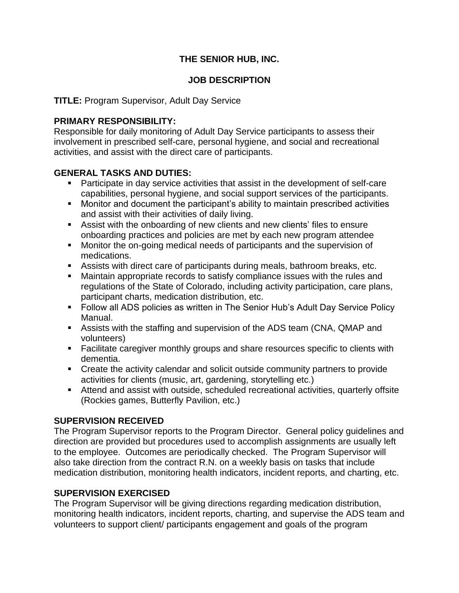# **THE SENIOR HUB, INC.**

### **JOB DESCRIPTION**

#### **TITLE:** Program Supervisor, Adult Day Service

### **PRIMARY RESPONSIBILITY:**

Responsible for daily monitoring of Adult Day Service participants to assess their involvement in prescribed self-care, personal hygiene, and social and recreational activities, and assist with the direct care of participants.

### **GENERAL TASKS AND DUTIES:**

- Participate in day service activities that assist in the development of self-care capabilities, personal hygiene, and social support services of the participants.
- Monitor and document the participant's ability to maintain prescribed activities and assist with their activities of daily living.
- Assist with the onboarding of new clients and new clients' files to ensure onboarding practices and policies are met by each new program attendee
- Monitor the on-going medical needs of participants and the supervision of medications.
- Assists with direct care of participants during meals, bathroom breaks, etc.
- Maintain appropriate records to satisfy compliance issues with the rules and regulations of the State of Colorado, including activity participation, care plans, participant charts, medication distribution, etc.
- Follow all ADS policies as written in The Senior Hub's Adult Day Service Policy Manual.
- Assists with the staffing and supervision of the ADS team (CNA, QMAP and volunteers)
- Facilitate caregiver monthly groups and share resources specific to clients with dementia.
- Create the activity calendar and solicit outside community partners to provide activities for clients (music, art, gardening, storytelling etc.)
- Attend and assist with outside, scheduled recreational activities, quarterly offsite (Rockies games, Butterfly Pavilion, etc.)

## **SUPERVISION RECEIVED**

The Program Supervisor reports to the Program Director. General policy guidelines and direction are provided but procedures used to accomplish assignments are usually left to the employee. Outcomes are periodically checked. The Program Supervisor will also take direction from the contract R.N. on a weekly basis on tasks that include medication distribution, monitoring health indicators, incident reports, and charting, etc.

## **SUPERVISION EXERCISED**

The Program Supervisor will be giving directions regarding medication distribution, monitoring health indicators, incident reports, charting, and supervise the ADS team and volunteers to support client/ participants engagement and goals of the program